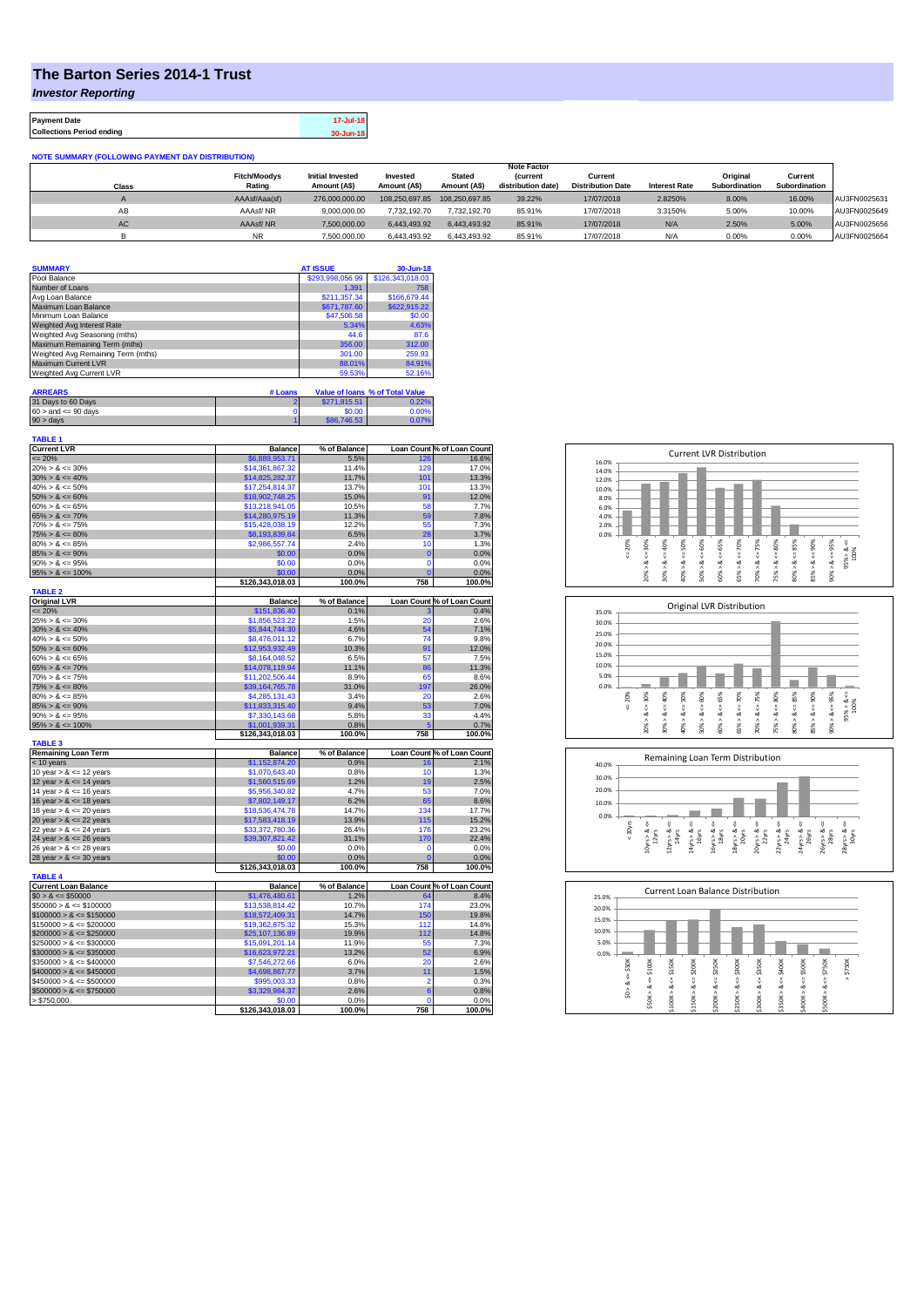## **The Barton Series 2014-1 Trust**

*Investor Reporting*

**Payment Date 17-Jul-18 Collections Period ending 30-Jun-18**

| <b>NOTE SUMMARY (FOLLOWING PAYMENT DAY DISTRIBUTION)</b> |  |
|----------------------------------------------------------|--|
|----------------------------------------------------------|--|

|           |                     |                         |                |                | <b>Note Factor</b> |                          |                      |                      |               |              |
|-----------|---------------------|-------------------------|----------------|----------------|--------------------|--------------------------|----------------------|----------------------|---------------|--------------|
|           | <b>Fitch/Moodvs</b> | <b>Initial Invested</b> | Invested       | <b>Stated</b>  | <i>(current</i>    | Current                  |                      | Original             | Current       |              |
| Class     | Rating              | Amount (A\$)            | Amount (A\$)   | Amount (A\$)   | distribution date) | <b>Distribution Date</b> | <b>Interest Rate</b> | <b>Subordination</b> | Subordination |              |
|           | AAAsf/Aaa(sf)       | 276.000.000.00          | 108.250.697.85 | 108.250.697.85 | 39.22%             | 17/07/2018               | 2.8250%              | 8.00%                | 16.00%        | AU3FN0025631 |
| AВ        | AAAsf/NR            | 9.000.000.00            | 7.732.192.70   | 7.732.192.70   | 85.91%             | 17/07/2018               | 3.3150%              | 5.00%                | 10.00%        | AU3FN0025649 |
| <b>AC</b> | AAAsf/NR            | 7.500.000.00            | 6.443.493.92   | 6.443.493.92   | 85.91%             | 17/07/2018               | N/A                  | 2.50%                | 5.00%         | AU3FN0025656 |
|           | <b>NR</b>           | 7,500,000.00            | 6.443.493.92   | 6.443.493.92   | 85.91%             | 17/07/2018               | N/A                  | 0.00%                | 0.00%         | AU3FN0025664 |

| <b>SUMMARY</b>                     |         | <b>AT ISSUE</b>  | 30-Jun-18                       |
|------------------------------------|---------|------------------|---------------------------------|
| Pool Balance                       |         | \$293,998,056.99 | \$126,343,018.03                |
| Number of Loans                    |         | 1.391            | 758                             |
| Avg Loan Balance                   |         | \$211.357.34     | \$166,679.44                    |
| Maximum Loan Balance               |         | \$671,787.60     | \$622,915.22                    |
| Minimum Loan Balance               |         | \$47,506.58      | \$0.00                          |
| Weighted Avg Interest Rate         |         | 5.34%            | 4.63%                           |
| Weighted Avg Seasoning (mths)      |         | 44.6             | 87.6                            |
| Maximum Remaining Term (mths)      |         | 356.00           | 312.00                          |
| Weighted Avg Remaining Term (mths) |         | 301.00           | 259.93                          |
| Maximum Current LVR                |         | 88.01%           | 84.91%                          |
| Weighted Avg Current LVR           |         | 59.53%           | 52.16%                          |
|                                    |         |                  |                                 |
| <b>ARREARS</b>                     | # Loans |                  | Value of Ioans % of Total Value |

| .                         |              |       |
|---------------------------|--------------|-------|
| 31 Days to 60 Days        | \$271,815.51 | 0.22% |
| $60 >$ and $\leq 90$ days | \$0.00       | 0.00% |
| $90 > \text{davs}$        | \$86,746,53  | 0.07% |

| <b>TABLE 1</b><br><b>Current LVR</b>                                                                                                                                          | <b>Balance</b>             | % of Balance   |                 | Loan Count % of Loan Count |
|-------------------------------------------------------------------------------------------------------------------------------------------------------------------------------|----------------------------|----------------|-----------------|----------------------------|
| $= 20%$                                                                                                                                                                       | \$6,889,953.71             | 5.5%           | 126             | 16.6%                      |
| $20\% > 8 \le 30\%$                                                                                                                                                           | \$14,361,867.32            | 11.4%          | 129             | 17.0%                      |
| $30\% > 8 \le 40\%$                                                                                                                                                           | \$14,825,282.37            | 11.7%          | 101             | 13.3%                      |
| $40\% > 8 \le 50\%$                                                                                                                                                           | \$17,254,814.37            | 13.7%          | 101             | 13.3%                      |
| $50\% > 8 \le 60\%$                                                                                                                                                           | \$18,902,748.25            | 15.0%          | 91              | 12.0%                      |
| $60\% > 8 \le 65\%$                                                                                                                                                           | \$13,218,941.05            | 10.5%          | 58              | 7.7%                       |
| $65\% > 8 \le 70\%$                                                                                                                                                           | \$14,280,975.19            | 11.3%          | 59              | 7.8%                       |
| $70\% > 8 \le 75\%$                                                                                                                                                           | \$15,428,038.19            | 12.2%          | 55              | 7.3%                       |
| $75\% > 8 \le 80\%$                                                                                                                                                           | \$8,193,839.84             | 6.5%           | 28              | 3.7%                       |
| $80\% > 8 \le 85\%$                                                                                                                                                           | \$2,986,557.74             | 2.4%           | 10              | 1.3%                       |
| $85\% > 8 \le 90\%$                                                                                                                                                           | \$0.00                     | 0.0%           | $\overline{0}$  | 0.0%                       |
| $90\% > 8 \le 95\%$                                                                                                                                                           | \$0.00                     | 0.0%           | $\mathbf 0$     | 0.0%                       |
| $95\% > 8 \le 100\%$                                                                                                                                                          | \$0.00                     | 0.0%           | C               | 0.0%                       |
|                                                                                                                                                                               | \$126.343.018.03           | 100.0%         | 758             | 100.0%                     |
| <b>TABLE 2</b>                                                                                                                                                                |                            |                |                 |                            |
| <b>Original LVR</b>                                                                                                                                                           | <b>Balance</b>             | % of Balance   |                 | Loan Count % of Loan Count |
| $= 20%$                                                                                                                                                                       | \$151,836.40               | 0.1%           |                 | 0.4%                       |
| $25\% > 8 \le 30\%$                                                                                                                                                           | \$1,856,523.22             | 1.5%           | 20              | 2.6%                       |
| $30\% > 8 \le 40\%$                                                                                                                                                           | \$5,844,744.30             | 4.6%           | 54              | 7.1%                       |
| $40\% > 8 \le 50\%$                                                                                                                                                           | \$8,476,011.12             | 6.7%           | 74              | 9.8%                       |
| $50\% > 8 \le 60\%$                                                                                                                                                           | \$12.953.932.49            | 10.3%          | 91              | 12.0%                      |
| $60\% > 8 \le 65\%$                                                                                                                                                           | \$8,164,048.52             | 6.5%           | 57              | 7.5%                       |
| $65\% > 8 \le 70\%$                                                                                                                                                           | \$14,078,119.94            | 11.1%          | 86              | 11.3%                      |
| $70\% > 8 \le 75\%$                                                                                                                                                           | \$11,202,506.44            | 8.9%           | 65              | 8.6%                       |
| $75\% > 8 \le 80\%$                                                                                                                                                           | \$39,164,765.78            | 31.0%          | 197             | 26.0%                      |
| $80\% > 8 \le 85\%$                                                                                                                                                           | \$4,285,131.43             | 3.4%           | 20              | 2.6%                       |
| $85\% > 8 \le 90\%$                                                                                                                                                           | \$11,833,315.40            | 9.4%           | 53              | 7.0%                       |
| $90\% > 8 \le 95\%$                                                                                                                                                           | \$7,330,143,68             | 5.8%           | 33              | 4.4%                       |
| $95\% > 8 \le 100\%$                                                                                                                                                          | \$1,001,939.31             | 0.8%           |                 | 0.7%                       |
|                                                                                                                                                                               | \$126,343,018.03           | 100.0%         | 758             | 100.0%                     |
| <b>TABLE 3</b>                                                                                                                                                                |                            |                |                 |                            |
| <b>Remaining Loan Term</b>                                                                                                                                                    | <b>Balance</b>             | % of Balance   |                 | Loan Count % of Loan Count |
| < 10 years                                                                                                                                                                    | \$1,152,874.20             | 0.9%           | 16              | 2.1%                       |
| 10 year $> 8 \le 12$ years                                                                                                                                                    | \$1,070,643.40             | 0.8%           | 10              | 1.3%                       |
| 12 year $> 8 \le 14$ years                                                                                                                                                    | \$1,560,515.69             | 1.2%           | 19              | 2.5%                       |
| 14 year $> 8 \le 16$ years                                                                                                                                                    | \$5,956,340.82             | 4.7%           | 53              | 7.0%                       |
| 16 year $> 8 \le 18$ years                                                                                                                                                    | \$7,802,149.17             | 6.2%           | 65              | 8.6%                       |
| 18 year $> 8 \le 20$ years                                                                                                                                                    | \$18,536,474.78            | 14.7%          | 134             | 17.7%                      |
| 20 year $> 8 \le 22$ years                                                                                                                                                    | \$17,583,418.19            | 13.9%          | 115             | 15.2%                      |
| 22 year $> 8 \le 24$ years                                                                                                                                                    | \$33,372,780.36            | 26.4%          | 176             | 23.2%                      |
| 24 year $> 8 \le 26$ years                                                                                                                                                    | \$39,307,821.42            | 31.1%          | 170             | 22.4%                      |
| 26 year $> 8 \le 28$ years                                                                                                                                                    | \$0.00                     | 0.0%           | $\Omega$        | 0.0%                       |
| 28 year $> 8 \le 30$ years                                                                                                                                                    | \$0.00                     | 0.0%           | $\overline{0}$  | 0.0%                       |
|                                                                                                                                                                               | \$126,343,018.03           | 100.0%         | 758             | 100.0%                     |
| <b>TABLE 4</b>                                                                                                                                                                |                            |                |                 |                            |
| <b>Current Loan Balance</b>                                                                                                                                                   | <b>Balance</b>             | % of Balance   |                 | Loan Count % of Loan Count |
| $$0 > 8 \leq $50000$                                                                                                                                                          | \$1,476,480.61             | 1.2%           | 64              | 8.4%                       |
| $$50000 > 8 \leq $100000$                                                                                                                                                     | \$13,538,814.42            | 10.7%          | 174             | 23.0%                      |
|                                                                                                                                                                               |                            | 14.7%          | 150             | 19.8%                      |
|                                                                                                                                                                               |                            |                |                 |                            |
|                                                                                                                                                                               | \$18,572,409.31            |                |                 |                            |
|                                                                                                                                                                               | \$19,362,875.32            | 15.3%          | 112             | 14.8%                      |
|                                                                                                                                                                               | \$25,107,136.89            | 19.9%          | 112             | 14.8%                      |
|                                                                                                                                                                               | \$15,091,201.14            | 11.9%          | 55              | 7.3%                       |
| $$250000 > 8 \leq $300000$                                                                                                                                                    | \$16,623,972.21            | 13.2%          | 52              | 6.9%                       |
|                                                                                                                                                                               | \$7,546,272.66             | 6.0%           | 20              | 2.6%                       |
| $$100000 > 8 \le $150000$<br>$$150000 > 8 \leq $200000$<br>$$200000 > 8 \leq $250000$<br>$$300000 > 8 \leq $350000$<br>$$350000 > 8 \le $400000$<br>$$400000 > 8 \le $450000$ | \$4,698,867.77             | 3.7%           | 11              | 1.5%                       |
|                                                                                                                                                                               | \$995,003.33               | 0.8%           | $\overline{2}$  | 0.3%                       |
| $$450000 > 8 \le $500000$<br>$$500000 > 8 \le $750000$                                                                                                                        | \$3,329,984.37             | 2.6%           | 6               | 0.8%                       |
| > \$750,000                                                                                                                                                                   | \$0.00<br>\$126,343,018.03 | 0.0%<br>100.0% | $\Omega$<br>758 | 0.0%<br>100.0%             |







| 25.0%                                           |                                | <b>Current Loan Balance Distribution</b> |                                 |                                 |                             |                                 |                             |                            |                             |             |
|-------------------------------------------------|--------------------------------|------------------------------------------|---------------------------------|---------------------------------|-----------------------------|---------------------------------|-----------------------------|----------------------------|-----------------------------|-------------|
| 20.0%                                           |                                |                                          |                                 |                                 |                             |                                 |                             |                            |                             |             |
| 15.0%                                           |                                |                                          |                                 |                                 |                             |                                 |                             |                            |                             |             |
| 10.0%                                           |                                |                                          |                                 |                                 |                             |                                 |                             |                            |                             |             |
| 5.0%                                            |                                |                                          |                                 |                                 |                             |                                 |                             |                            |                             |             |
| 0.0%                                            |                                |                                          |                                 |                                 |                             |                                 |                             |                            |                             |             |
| \$50K<br>$\frac{1}{\sqrt{2}}$<br>త<br>$\hat{s}$ | \$100K<br>8<br>ಯ<br>٨<br>\$50K | \$150K<br>V<br>œ<br>\$100K>              | \$200K<br>V<br>ಹ<br>٨<br>\$150K | \$250K<br>ű<br>œ<br>٨<br>\$200K | \$300K<br>V<br>∞<br>\$250K> | \$350K<br>U<br>œ<br>Λ<br>\$300K | $4 = $400K$<br>ಷ<br>\$350K> | \$500K<br>υ<br>œ<br>\$400K | \$750K<br>V<br>œ<br>\$500K> | \$750K<br>Λ |